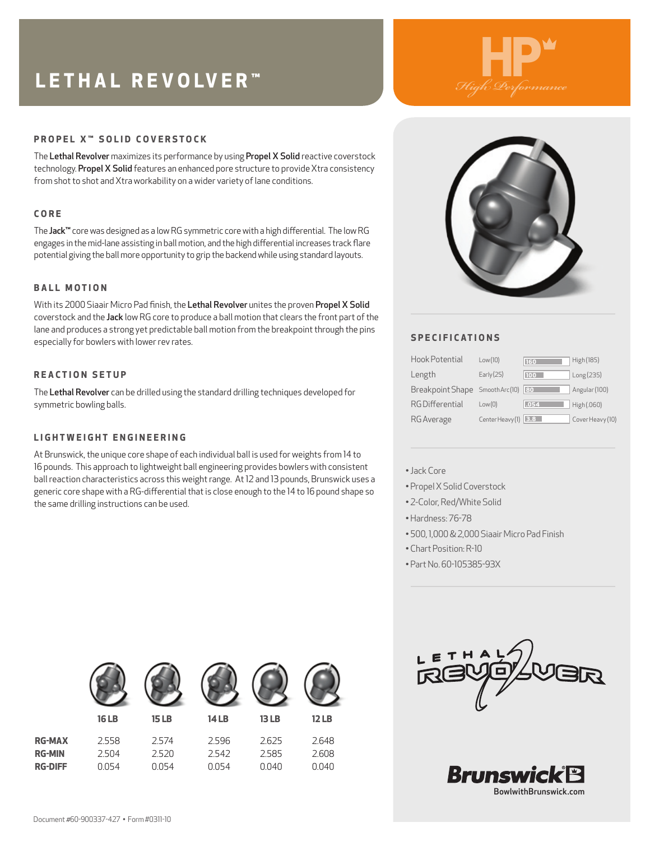# **LETHAL REVOLVER™**



## **PROPEL X™ SOLID COVERSTOCK**

The Lethal Revolver maximizes its performance by using Propel X Solid reactive coverstock technology. Propel X Solid features an enhanced pore structure to provide Xtra consistency from shot to shot and Xtra workability on a wider variety of lane conditions.

#### **CORE**

The Jack™ core was designed as a low RG symmetric core with a high differential. The low RG engages in the mid-lane assisting in ball motion, and the high differential increases track flare potential giving the ball more opportunity to grip the backend while using standard layouts.

#### **BALL MOTION**

With its 2000 Siaair Micro Pad finish, the Lethal Revolver unites the proven Propel X Solid coverstock and the Jack low RG core to produce a ball motion that clears the front part of the lane and produces a strong yet predictable ball motion from the breakpoint through the pins especially for bowlers with lower rev rates.

#### **REACTION SETUP**

The Lethal Revolver can be drilled using the standard drilling techniques developed for symmetric bowling balls.

### **LIGHTWEIGHT ENGINEERING**

At Brunswick, the unique core shape of each individual ball is used for weights from 14 to 16 pounds. This approach to lightweight ball engineering provides bowlers with consistent ball reaction characteristics across this weight range. At 12 and 13 pounds, Brunswick uses a generic core shape with a RG-differential that is close enough to the 14 to 16 pound shape so the same drilling instructions can be used.



# **SPECIFICATIONS**

| Hook Potential        | Low(10)         | 160  | High (185)       |
|-----------------------|-----------------|------|------------------|
| Length                | Early $(25)$    | 100  | Long (235)       |
| Breakpoint Shape      | Smooth Arc(10)  | 80   | Angular (100)    |
| <b>RGDifferential</b> | Low(0)          | .054 | High (.060)      |
| RG Average            | Center Heavy(1) | 3.8  | Cover Heavy (10) |

#### •Jack Core

- Propel X Solid Coverstock
- 2-Color, Red/White Solid
- •Hardness: 76-78
- 500, 1,000 & 2,000 Siaair Micro Pad Finish
- Chart Position: R-10
- Part No. 60-105385-93X